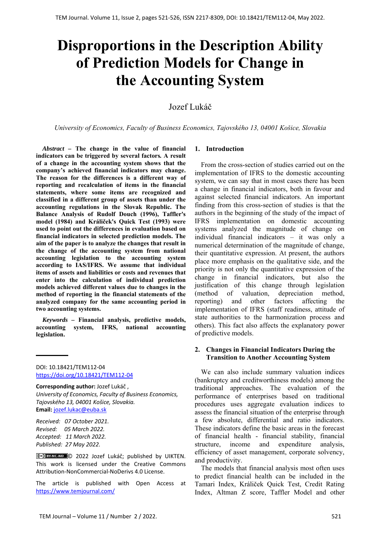# **Disproportions in the Description Ability of Prediction Models for Change in the Accounting System**

## Jozef Lukáč

*University of Economics, Faculty of Business Economics, Tajovského 13, 04001 Košice, Slovakia*

*Abstract –* **The change in the value of financial indicators can be triggered by several factors***.* **A result of a change in the accounting system shows that the company's achieved financial indicators may change. The reason for the differences is a different way of reporting and recalculation of items in the financial statements, where some items are recognized and classified in a different group of assets than under the accounting regulations in the Slovak Republic. The Balance Analysis of Rudolf Douch (1996), Taffler's model (1984) and Králiček's Quick Test (1993) were used to point out the differences in evaluation based on financial indicators in selected prediction models. The aim of the paper is to analyze the changes that result in the change of the accounting system from national accounting legislation to the accounting system according to IAS/IFRS. We assume that individual items of assets and liabilities or costs and revenues that enter into the calculation of individual prediction models achieved different values due to changes in the method of reporting in the financial statements of the analyzed company for the same accounting period in two accounting systems.** 

*Keywords –* **Financial analysis, predictive models, accounting system, IFRS, national accounting legislation.** 

DOI: 10.18421/TEM112-04 [https://doi.org/10.18421/TEM112](https://doi.org/10.18421/TEM112-04)-04

**Corresponding author:** Jozef Lukáč , *University of Economics, Faculty of Business Economics, Tajovského 13, 04001 Košice, Slovakia.*  **Email:** jozef.lukac@euba.sk

*Received: 07 October 2021. Revised: 05 March 2022. Accepted: 11 March 2022. Published: 27 May 2022.* 

© 2022 Jozef Lukáč; published by UIKTEN. This work is licensed under the Creative Commons Attribution‐NonCommercial‐NoDerivs 4.0 License.

The article is published with Open Access at https://www.temjournal.com/

## **1. Introduction**

From the cross-section of studies carried out on the implementation of IFRS to the domestic accounting system, we can say that in most cases there has been a change in financial indicators, both in favour and against selected financial indicators. An important finding from this cross-section of studies is that the authors in the beginning of the study of the impact of IFRS implementation on domestic accounting systems analyzed the magnitude of change on  $individual$  financial indicators  $-$  it was only a numerical determination of the magnitude of change, their quantitative expression. At present, the authors place more emphasis on the qualitative side, and the priority is not only the quantitative expression of the change in financial indicators, but also the justification of this change through legislation (method of valuation, depreciation method, reporting) and other factors affecting the implementation of IFRS (staff readiness, attitude of state authorities to the harmonization process and others). This fact also affects the explanatory power of predictive models.

## **2. Changes in Financial Indicators During the Transition to Another Accounting System**

We can also include summary valuation indices (bankruptcy and creditworthiness models) among the traditional approaches. The evaluation of the performance of enterprises based on traditional procedures uses aggregate evaluation indices to assess the financial situation of the enterprise through a few absolute, differential and ratio indicators. These indicators define the basic areas in the forecast of financial health - financial stability, financial structure, income and expenditure analysis, efficiency of asset management, corporate solvency, and productivity.

The models that financial analysis most often uses to predict financial health can be included in the Tamari Index, Králiček Quick Test, Credit Rating Index, Altman Z score, Taffler Model and other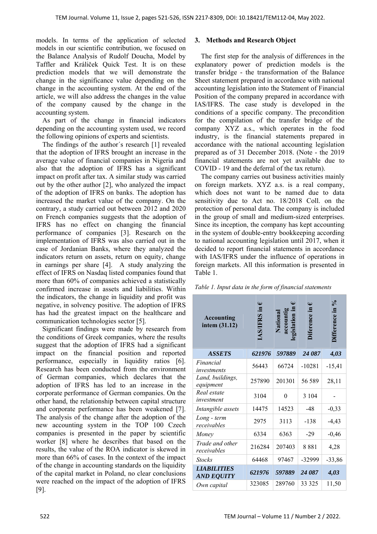models. In terms of the application of selected models in our scientific contribution, we focused on the Balance Analysis of Rudolf Doucha, Model by Taffler and Králiček Quick Test. It is on these prediction models that we will demonstrate the change in the significance value depending on the change in the accounting system. At the end of the article, we will also address the changes in the value of the company caused by the change in the accounting system.

As part of the change in financial indicators depending on the accounting system used, we record the following opinions of experts and scientists.

The findings of the author´s research [1] revealed that the adoption of IFRS brought an increase in the average value of financial companies in Nigeria and also that the adoption of IFRS has a significant impact on profit after tax. A similar study was carried out by the other author [2], who analyzed the impact of the adoption of IFRS on banks. The adoption has increased the market value of the company. On the contrary, a study carried out between 2012 and 2020 on French companies suggests that the adoption of IFRS has no effect on changing the financial performance of companies [3]. Research on the implementation of IFRS was also carried out in the case of Jordanian Banks, where they analyzed the indicators return on assets, return on equity, change in earnings per share [4]. A study analyzing the effect of IFRS on Nasdaq listed companies found that more than 60% of companies achieved a statistically confirmed increase in assets and liabilities. Within the indicators, the change in liquidity and profit was negative, in solvency positive. The adoption of IFRS has had the greatest impact on the healthcare and communication technologies sector [5].

Significant findings were made by research from the conditions of Greek companies, where the results suggest that the adoption of IFRS had a significant impact on the financial position and reported performance, especially in liquidity ratios [6]. Research has been conducted from the environment of German companies, which declares that the adoption of IFRS has led to an increase in the corporate performance of German companies. On the other hand, the relationship between capital structure and corporate performance has been weakened [7]. The analysis of the change after the adoption of the new accounting system in the TOP 100 Czech companies is presented in the paper by scientific worker [8] where he describes that based on the results, the value of the ROA indicator is skewed in more than 66% of cases. In the context of the impact of the change in accounting standards on the liquidity of the capital market in Poland, no clear conclusions were reached on the impact of the adoption of IFRS [9].

### **3. Methods and Research Object**

The first step for the analysis of differences in the explanatory power of prediction models is the transfer bridge - the transformation of the Balance Sheet statement prepared in accordance with national accounting legislation into the Statement of Financial Position of the company prepared in accordance with IAS/IFRS. The case study is developed in the conditions of a specific company. The precondition for the compilation of the transfer bridge of the company XYZ a.s., which operates in the food industry, is the financial statements prepared in accordance with the national accounting legislation prepared as of 31 December 2018. (Note - the 2019 financial statements are not yet available due to COVID - 19 and the deferral of the tax return).

The company carries out business activities mainly on foreign markets. XYZ a.s. is a real company, which does not want to be named due to data sensitivity due to Act no. 18/2018 Coll. on the protection of personal data. The company is included in the group of small and medium-sized enterprises. Since its inception, the company has kept accounting in the system of double-entry bookkeeping according to national accounting legislation until 2017, when it decided to report financial statements in accordance with IAS/IFRS under the influence of operations in foreign markets. All this information is presented in Table 1.

|  |  | Table 1. Input data in the form of financial statements |  |
|--|--|---------------------------------------------------------|--|
|--|--|---------------------------------------------------------|--|

| <b>Accounting</b><br>intem (31.12)      | €<br>AS/IFRS in | Nationa<br>accoun<br>egislation | $\mathbf \omega$<br><b>Diference</b> | $\%$<br>)ifference in |
|-----------------------------------------|-----------------|---------------------------------|--------------------------------------|-----------------------|
| <b>ASSETS</b>                           | 621976          | 597889                          | 24 087                               | 4,03                  |
| Financial<br>investments                | 56443           | 66724                           | $-10281$                             | $-15,41$              |
| Land, buildings,<br>equipment           | 257890          | 201301                          | 56 589                               | 28,11                 |
| Real estate<br>investment               | 3104            | 0                               | 3 1 0 4                              |                       |
| Intangible assets                       | 14475           | 14523                           | $-48$                                | $-0,33$               |
| Long - term<br>receivables              | 2975            | 3113                            | $-138$                               | $-4,43$               |
| Money                                   | 6334            | 6363                            | $-29$                                | $-0,46$               |
| Trade and other<br>receivables          | 216284          | 207403                          | 8881                                 | 4,28                  |
| <b>Stocks</b>                           | 64468           | 97467                           | -32999                               | $-33,86$              |
| <b>LIABILITIES</b><br><b>AND EQUITY</b> | 621976          | 597889                          | 24 087                               | 4,03                  |
| Own capital                             | 323085          | 289760                          | 33 3 25                              | 11,50                 |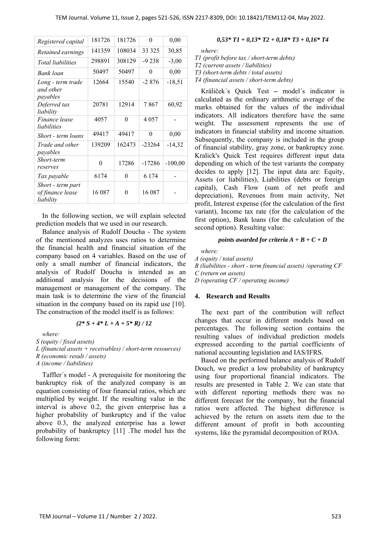| Registered capital                                 | 181726   | 181726   | $\theta$ | 0,00      |
|----------------------------------------------------|----------|----------|----------|-----------|
| Retained earnings                                  | 141359   | 108034   | 33 325   | 30,85     |
| Total liabilities                                  | 298891   | 308129   | $-9238$  | $-3,00$   |
| Bank loan                                          | 50497    | 50497    | $\theta$ | 0,00      |
| Long - term trade<br>and other<br>payables         | 12664    | 15540    | $-2876$  | $-18,51$  |
| Deferred tax<br>liability                          | 20781    | 12914    | 7867     | 60,92     |
| Finance lease<br>liabilities                       | 4057     | 0        | 4 0 5 7  |           |
| Short - term loans                                 | 49417    | 49417    | $\theta$ | 0,00      |
| Trade and other<br>payables                        | 139209   | 162473   | $-23264$ | $-14,32$  |
| Short-term<br>reserves                             | $\theta$ | 17286    | $-17286$ | $-100,00$ |
| Tax payable                                        | 6174     | $\theta$ | 6 1 7 4  |           |
| Short - term part<br>of finance lease<br>liability | 16 087   | 0        | 16 087   |           |

In the following section, we will explain selected prediction models that we used in our research.

Balance analysis of Rudolf Doucha - The system of the mentioned analyzes uses ratios to determine the financial health and financial situation of the company based on 4 variables. Based on the use of only a small number of financial indicators, the analysis of Rudolf Doucha is intended as an additional analysis for the decisions of the management or management of the company. The main task is to determine the view of the financial situation in the company based on its rapid use [10]. The construction of the model itself is as follows:

$$
(2 * S + 4 * L + A + 5 * R) / 12
$$

*where:* 

*S (equity / fixed assets)* 

*L (financial assets + receivables) / short-term resources) R (economic result / assets)* 

*A (income / liabilities)* 

Taffler´s model - A prerequisite for monitoring the bankruptcy risk of the analyzed company is an equation consisting of four financial ratios, which are multiplied by weight. If the resulting value in the interval is above 0.2, the given enterprise has a higher probability of bankruptcy and if the value above 0.3, the analyzed enterprise has a lower probability of bankruptcy [11] .The model has the following form:

#### *0,53\* T1 + 0,13\* T2 + 0,18\* T3 + 0,16\* T4*

*where:* 

*T1 (profit before tax / short-term debts) T2 (current assets / liabilities) T3 (short-term debts / total assets) T4 (financial assets / short-term debts)* 

Králiček´s Quick Test *–* model´s indicator is calculated as the ordinary arithmetic average of the marks obtained for the values of the individual indicators. All indicators therefore have the same weight. The assessment represents the use of indicators in financial stability and income situation. Subsequently, the company is included in the group of financial stability, gray zone, or bankruptcy zone. Kralick's Quick Test requires different input data depending on which of the test variants the company decides to apply [12]. The input data are: Equity, Assets (or liabilities), Liabilities (debts or foreign capital), Cash Flow (sum of net profit and depreciation), Revenues from main activity, Net profit, Interest expense (for the calculation of the first variant), Income tax rate (for the calculation of the first option), Bank loans (for the calculation of the second option). Resulting value:

#### *points awarded for criteria A + B + C + D*

*where:* 

*A (equity / total assets)* 

*B (liabilities - short - term financial assets) /operating CF C (return on assets)* 

*D (operating CF / operating income)* 

#### **4. Research and Results**

The next part of the contribution will reflect changes that occur in different models based on percentages. The following section contains the resulting values of individual prediction models expressed according to the partial coefficients of national accounting legislation and IAS/IFRS.

Based on the performed balance analysis of Rudolf Douch, we predict a low probability of bankruptcy using four proportional financial indicators. The results are presented in Table 2. We can state that with different reporting methods there was no different forecast for the company, but the financial ratios were affected. The highest difference is achieved by the return on assets item due to the different amount of profit in both accounting systems, like the pyramidal decomposition of ROA.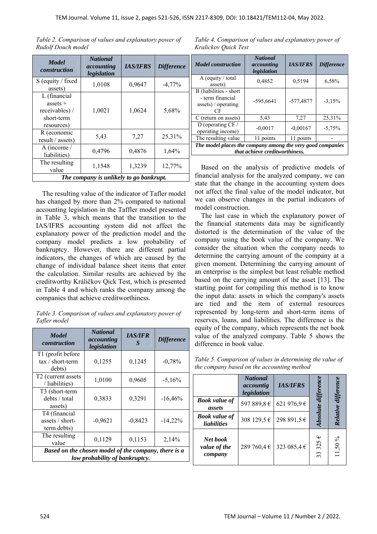| <b>Model</b><br>construction                                             | <b>National</b><br>accounting<br>legislation | <b>IAS/IFRS</b> | <b>Difference</b> |
|--------------------------------------------------------------------------|----------------------------------------------|-----------------|-------------------|
| S (equity / fixed<br>assets)                                             | 1,0108                                       | 0,9647          | $-4,77\%$         |
| L (financial<br>assets $+$<br>receivables) /<br>short-term<br>resources) | 1,0021                                       | 1,0624          | 5,68%             |
| R (economic<br>result / assets)                                          | 5,43                                         | 7,27            | 25,31%            |
| A (income $\prime$<br>liabilities)                                       | 0,4796                                       | 0,4876          | 1,64%             |
| The resulting<br>value                                                   | 1,1548                                       | 1,3239          | 12,77%            |
| The company is unlikely to go bankrupt.                                  |                                              |                 |                   |

*Table 2. Comparison of values and explanatory power of Rudolf Douch model* 

The resulting value of the indicator of Tafler model has changed by more than 2% compared to national accounting legislation in the Taffler model presented in Table 3, which means that the transition to the IAS/IFRS accounting system did not affect the explanatory power of the prediction model and the company model predicts a low probability of bankruptcy. However, there are different partial indicators, the changes of which are caused by the change of individual balance sheet items that enter the calculation. Similar results are achieved by the creditworthy Králičkov Qick Test, which is presented in Table 4 and which ranks the company among the companies that achieve creditworthiness.

*Table 3. Comparison of values and explanatory power of Tafler model* 

| <b>Model</b><br>construction                                                           | <b>National</b><br>accounting<br>legislation | <b>IAS/IFR</b><br>$\mathcal{S}$ | <b>Difference</b> |  |
|----------------------------------------------------------------------------------------|----------------------------------------------|---------------------------------|-------------------|--|
| T1 (profit before<br>tax / short-term<br>debts)                                        | 0,1255                                       | 0,1245                          | $-0,78%$          |  |
| T <sub>2</sub> (current assets<br>/ liabilities)                                       | 1,0100                                       | 0,9605                          | $-5,16%$          |  |
| T3 (short-term<br>debts / total<br>assets)                                             | 0,3833                                       | 0,3291                          | $-16,46%$         |  |
| T4 (financial<br>assets / short-<br>term debts)                                        | $-0,9621$                                    | $-0,8423$                       | $-14,22\%$        |  |
| The resulting<br>value                                                                 | 0,1129                                       | 0,1153                          | 2,14%             |  |
| Based on the chosen model of the company, there is a<br>low probability of bankruptcy. |                                              |                                 |                   |  |

*Table 4. Comparison of values and explanatory power of Kralickov Quick Test* 

| <b>Model</b> construction                                                                    | <b>National</b><br>accounting<br>legislation | <b>IAS/IFRS</b> | <b>Difference</b> |  |
|----------------------------------------------------------------------------------------------|----------------------------------------------|-----------------|-------------------|--|
| A (equity / total<br>assets)                                                                 | 0,4852                                       | 0,5194          | 6,58%             |  |
| B (liabilities - short<br>- term financial<br>assets) / operating<br>СF                      | $-595,6641$                                  | -577,4877       | $-3,15%$          |  |
| C (return on assets)                                                                         | 5,43                                         | 7,27            | 25,31%            |  |
| D (operating $CF/$<br>operating income)                                                      | $-0,0017$                                    | $-0,00167$      | $-5,75%$          |  |
| The resulting value                                                                          | 11 points                                    | 11 points       |                   |  |
| The model places the company among the very good companies<br>that achieve creditworthiness. |                                              |                 |                   |  |

Based on the analysis of predictive models of financial analysis for the analyzed company, we can state that the change in the accounting system does not affect the final value of the model indicator, but we can observe changes in the partial indicators of model construction.

The last case in which the explanatory power of the financial statements data may be significantly distorted is the determination of the value of the company using the book value of the company. We consider the situation when the company needs to determine the carrying amount of the company at a given moment. Determining the carrying amount of an enterprise is the simplest but least reliable method based on the carrying amount of the asset [13]. The starting point for compiling this method is to know the input data: assets in which the company's assets are tied and the item of external resources represented by long-term and short-term items of reserves, loans, and liabilities. The difference is the equity of the company, which represents the net book value of the analyzed company. Table 5 shows the difference in book value.

| Table 5. Comparison of values in determining the value of |
|-----------------------------------------------------------|
| the company based on the accounting method                |

|                                            | <b>National</b><br>accountig<br>legislation | <b>IAS/IFRS</b> |                                  |          |
|--------------------------------------------|---------------------------------------------|-----------------|----------------------------------|----------|
| <b>Book value of</b><br>assets             | 597 889,8€                                  | 621 976,9€      |                                  |          |
| <b>Book value of</b><br><i>liabilities</i> | 308 129,5 €                                 | 298 891,5€      | solute                           | Relative |
| Net book<br>value of the<br>company        | 289 760,4 €                                 | 323 085,4 €     | Φ<br>325<br>$\epsilon$<br>$\sim$ | 11,50%   |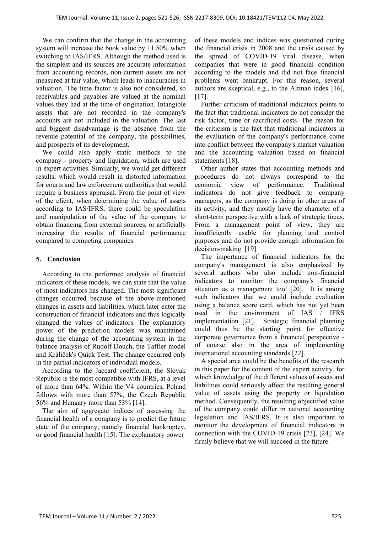We can confirm that the change in the accounting system will increase the book value by 11.50% when switching to IAS/IFRS. Although the method used is the simplest and its sources are accurate information from accounting records, non-current assets are not measured at fair value, which leads to inaccuracies in valuation. The time factor is also not considered, so receivables and payables are valued at the nominal values they had at the time of origination. Intangible assets that are not recorded in the company's accounts are not included in the valuation. The last and biggest disadvantage is the absence from the revenue potential of the company, the possibilities, and prospects of its development.

We could also apply static methods to the company - property and liquidation, which are used in expert activities. Similarly, we would get different results, which would result in distorted information for courts and law enforcement authorities that would require a business appraisal. From the point of view of the client, when determining the value of assets according to IAS/IFRS, there could be speculation and manipulation of the value of the company to obtain financing from external sources, or artificially increasing the results of financial performance compared to competing companies.

## **5. Conclusion**

According to the performed analysis of financial indicators of these models, we can state that the value of most indicators has changed. The most significant changes occurred because of the above-mentioned changes in assets and liabilities, which later enter the construction of financial indicators and thus logically changed the values of indicators. The explanatory power of the prediction models was maintained during the change of the accounting system in the balance analysis of Rudolf Douch, the Taffler model and Králiček's Quick Test. The change occurred only in the partial indicators of individual models.

According to the Jaccard coefficient, the Slovak Republic is the most compatible with IFRS, at a level of more than 64%. Within the V4 countries, Poland follows with more than 57%, the Czech Republic 56% and Hungary more than 53% [14].

The aim of aggregate indices of assessing the financial health of a company is to predict the future state of the company, namely financial bankruptcy, or good financial health [15]. The explanatory power

of these models and indices was questioned during the financial crisis in 2008 and the crisis caused by the spread of COVID-19 viral disease, when companies that were in good financial condition according to the models and did not face financial problems went bankrupt. For this reason, several authors are skeptical, e.g., to the Altman index [16], [17].

Further criticism of traditional indicators points to the fact that traditional indicators do not consider the risk factor, time or sacrificed costs. The reason for the criticism is the fact that traditional indicators in the evaluation of the company's performance come into conflict between the company's market valuation and the accounting valuation based on financial statements [18].

Other author states that accounting methods and procedures do not always correspond to the economic view of performance. Traditional indicators do not give feedback to company managers, as the company is doing in other areas of its activity, and they mostly have the character of a short-term perspective with a lack of strategic focus. From a management point of view, they are insufficiently usable for planning and control purposes and do not provide enough information for decision-making. [19]

The importance of financial indicators for the company's management is also emphasized by several authors who also include non-financial indicators to monitor the company's financial situation as a management tool [20]. It is among such indicators that we could include evaluation using a balance score card, which has not yet been used in the environment of IAS / IFRS implementation [21]. Strategic financial planning could thus be the starting point for effective corporate governance from a financial perspective of course also in the area of implementing international accounting standards [22].

A special area could be the benefits of the research in this paper for the content of the expert activity, for which knowledge of the different values of assets and liabilities could seriously affect the resulting general value of assets using the property or liquidation method. Consequently, the resulting objectified value of the company could differ in national accounting legislation and IAS/IFRS. It is also important to monitor the development of financial indicators in connection with the COVID-19 crisis [23], [24]. We firmly believe that we will succeed in the future.